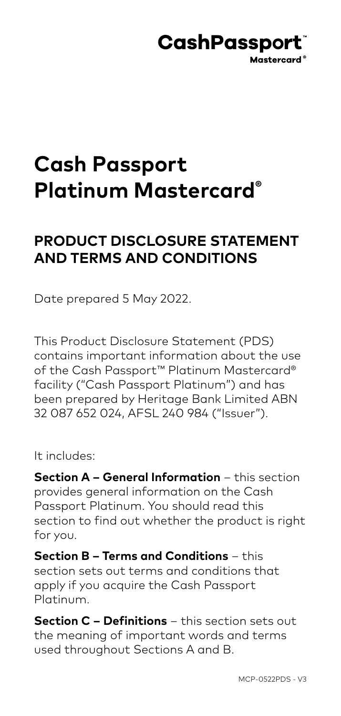## **CashPassport** Mastercard<sup>®</sup>

# **Cash Passport Platinum Mastercard®**

## **PRODUCT DISCLOSURE STATEMENT AND TERMS AND CONDITIONS**

Date prepared 5 May 2022.

This Product Disclosure Statement (PDS) contains important information about the use of the Cash Passport<sup>™</sup> Platinum Mastercard® facility ("Cash Passport Platinum") and has been prepared by Heritage Bank Limited ABN 32 087 652 024, AFSL 240 984 ("Issuer").

It includes:

**Section A – General Information** – this section provides general information on the Cash Passport Platinum. You should read this section to find out whether the product is right for you.

**Section B – Terms and Conditions** – this section sets out terms and conditions that apply if you acquire the Cash Passport Platinum.

**Section C – Definitions** – this section sets out the meaning of important words and terms used throughout Sections A and B.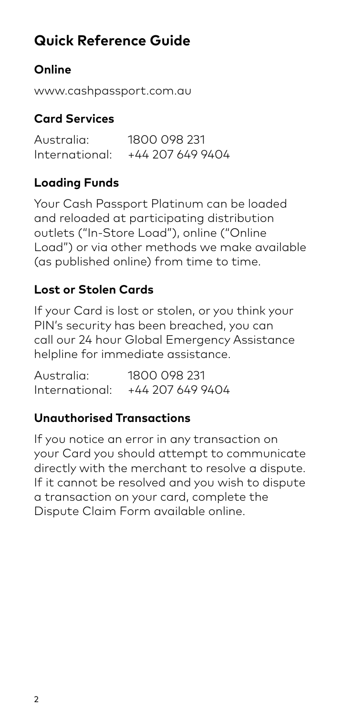## **Quick Reference Guide**

## **Online**

www.cashpassport.com.au

## **Card Services**

Australia: 1800 098 231<br>International: +44 207 649 9 +44 207 649 9404

## **Loading Funds**

Your Cash Passport Platinum can be loaded and reloaded at participating distribution outlets ("In-Store Load"), online ("Online Load") or via other methods we make available (as published online) from time to time.

## **Lost or Stolen Cards**

If your Card is lost or stolen, or you think your PIN's security has been breached, you can call our 24 hour Global Emergency Assistance helpline for immediate assistance.

Australia: 1800 098 231 International: +44 207 649 9404

## **Unauthorised Transactions**

If you notice an error in any transaction on your Card you should attempt to communicate directly with the merchant to resolve a dispute. If it cannot be resolved and you wish to dispute a transaction on your card, complete the Dispute Claim Form available online.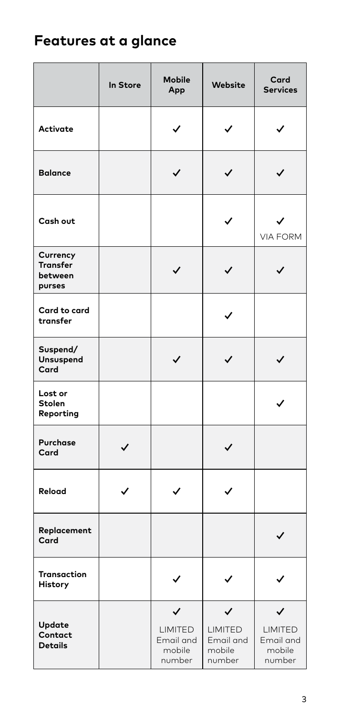## **Features at a glance**

|                                           | In Store | <b>Mobile</b><br>App                          | Website                                  | Card<br><b>Services</b>                                         |
|-------------------------------------------|----------|-----------------------------------------------|------------------------------------------|-----------------------------------------------------------------|
| Activate                                  |          |                                               | ✓                                        |                                                                 |
| <b>Balance</b>                            |          |                                               | ✓                                        |                                                                 |
| Cash out                                  |          |                                               | ✓                                        | <b>VIA FORM</b>                                                 |
| Currency<br>Transfer<br>between<br>purses |          | ✓                                             | ✓                                        | ✓                                                               |
| Card to card<br>transfer                  |          |                                               |                                          |                                                                 |
| Suspend/<br>Unsuspend<br>Card             |          | $\checkmark$                                  | ✓                                        | $\checkmark$                                                    |
| Lost or<br>Stolen<br>Reporting            |          |                                               |                                          |                                                                 |
| Purchase<br>Card                          | ✓        |                                               | ✓                                        |                                                                 |
| Reload                                    | ✓        | ✓                                             | ✓                                        |                                                                 |
| Replacement<br>Card                       |          |                                               |                                          | $\checkmark$                                                    |
| Transaction<br>History                    |          | ✓                                             | ✓                                        |                                                                 |
| Update<br>Contact<br><b>Details</b>       |          | ✓<br>LIMITED<br>Email and<br>mobile<br>number | LIMITED<br>Email and<br>mobile<br>number | $\checkmark$<br><b>LIMITED</b><br>Email and<br>mobile<br>number |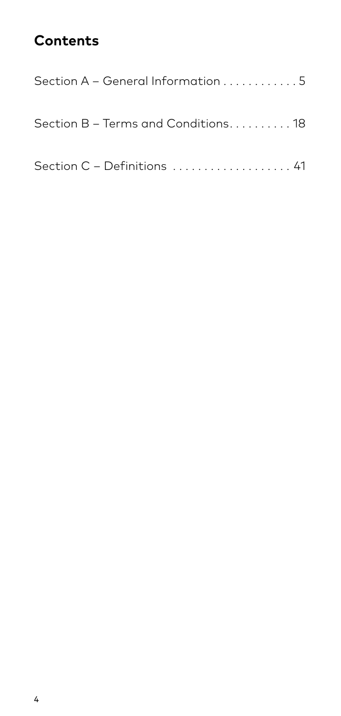## **Contents**

| Section A – General Information 5   |  |
|-------------------------------------|--|
| Section B – Terms and Conditions 18 |  |
| Section C - Definitions  41         |  |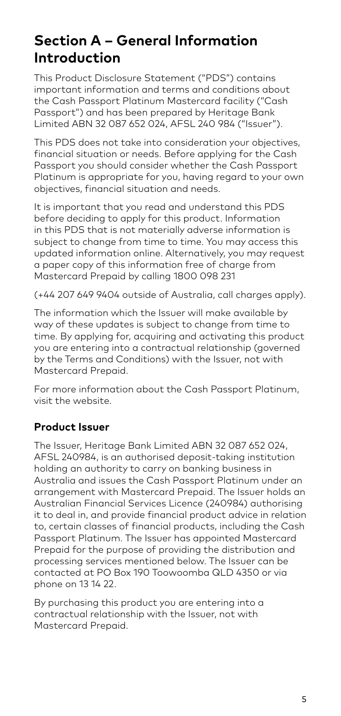## **Section A – General Information Introduction**

This Product Disclosure Statement ("PDS") contains important information and terms and conditions about the Cash Passport Platinum Mastercard facility ("Cash Passport") and has been prepared by Heritage Bank Limited ABN 32 087 652 024, AFSL 240 984 ("Issuer").

This PDS does not take into consideration your objectives, financial situation or needs. Before applying for the Cash Passport you should consider whether the Cash Passport Platinum is appropriate for you, having regard to your own objectives, financial situation and needs.

It is important that you read and understand this PDS before deciding to apply for this product. Information in this PDS that is not materially adverse information is subject to change from time to time. You may access this updated information online. Alternatively, you may request a paper copy of this information free of charge from Mastercard Prepaid by calling 1800 098 231

(+44 207 649 9404 outside of Australia, call charges apply).

The information which the Issuer will make available by way of these updates is subject to change from time to time. By applying for, acquiring and activating this product you are entering into a contractual relationship (governed by the Terms and Conditions) with the Issuer, not with Mastercard Prepaid.

For more information about the Cash Passport Platinum, visit the website.

#### **Product Issuer**

The Issuer, Heritage Bank Limited ABN 32 087 652 024, AFSL 240984, is an authorised deposit-taking institution holding an authority to carry on banking business in Australia and issues the Cash Passport Platinum under an arrangement with Mastercard Prepaid. The Issuer holds an Australian Financial Services Licence (240984) authorising it to deal in, and provide financial product advice in relation to, certain classes of financial products, including the Cash Passport Platinum. The Issuer has appointed Mastercard Prepaid for the purpose of providing the distribution and processing services mentioned below. The Issuer can be contacted at PO Box 190 Toowoomba QLD 4350 or via phone on 13 14 22.

By purchasing this product you are entering into a contractual relationship with the Issuer, not with Mastercard Prepaid.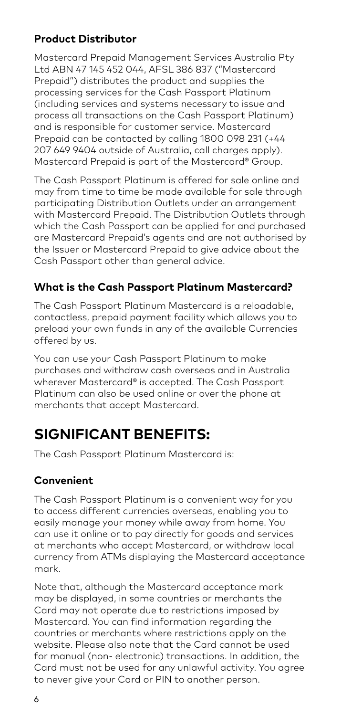#### **Product Distributor**

Mastercard Prepaid Management Services Australia Pty Ltd ABN 47 145 452 044, AFSL 386 837 ("Mastercard Prepaid") distributes the product and supplies the processing services for the Cash Passport Platinum (including services and systems necessary to issue and process all transactions on the Cash Passport Platinum) and is responsible for customer service. Mastercard Prepaid can be contacted by calling 1800 098 231 (+44 207 649 9404 outside of Australia, call charges apply). Mastercard Prepaid is part of the Mastercard® Group.

The Cash Passport Platinum is offered for sale online and may from time to time be made available for sale through participating Distribution Outlets under an arrangement with Mastercard Prepaid. The Distribution Outlets through which the Cash Passport can be applied for and purchased are Mastercard Prepaid's agents and are not authorised by the Issuer or Mastercard Prepaid to give advice about the Cash Passport other than general advice.

#### **What is the Cash Passport Platinum Mastercard?**

The Cash Passport Platinum Mastercard is a reloadable, contactless, prepaid payment facility which allows you to preload your own funds in any of the available Currencies offered by us.

You can use your Cash Passport Platinum to make purchases and withdraw cash overseas and in Australia wherever Mastercard® is accepted. The Cash Passport Platinum can also be used online or over the phone at merchants that accept Mastercard.

## **SIGNIFICANT BENEFITS:**

The Cash Passport Platinum Mastercard is:

#### **Convenient**

The Cash Passport Platinum is a convenient way for you to access different currencies overseas, enabling you to easily manage your money while away from home. You can use it online or to pay directly for goods and services at merchants who accept Mastercard, or withdraw local currency from ATMs displaying the Mastercard acceptance mark.

Note that, although the Mastercard acceptance mark may be displayed, in some countries or merchants the Card may not operate due to restrictions imposed by Mastercard. You can find information regarding the countries or merchants where restrictions apply on the website. Please also note that the Card cannot be used for manual (non- electronic) transactions. In addition, the Card must not be used for any unlawful activity. You agree to never give your Card or PIN to another person.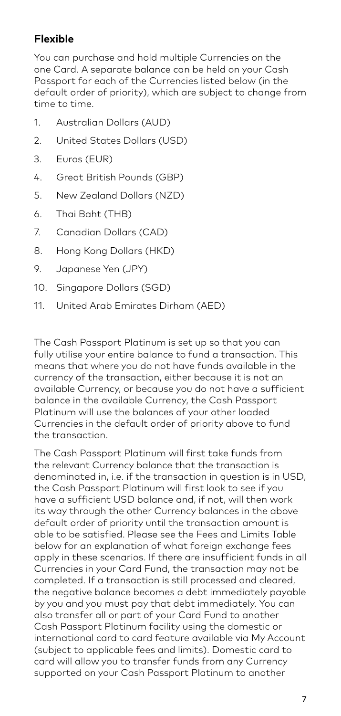#### **Flexible**

You can purchase and hold multiple Currencies on the one Card. A separate balance can be held on your Cash Passport for each of the Currencies listed below (in the default order of priority), which are subject to change from time to time.

- 1. Australian Dollars (AUD)
- 2. United States Dollars (USD)
- 3. Euros (EUR)
- 4. Great British Pounds (GBP)
- 5. New Zealand Dollars (NZD)
- 6. Thai Baht (THB)
- 7. Canadian Dollars (CAD)
- 8. Hong Kong Dollars (HKD)
- 9. Japanese Yen (JPY)
- 10. Singapore Dollars (SGD)
- 11. United Arab Emirates Dirham (AED)

The Cash Passport Platinum is set up so that you can fully utilise your entire balance to fund a transaction. This means that where you do not have funds available in the currency of the transaction, either because it is not an available Currency, or because you do not have a sufficient balance in the available Currency, the Cash Passport Platinum will use the balances of your other loaded Currencies in the default order of priority above to fund the transaction.

The Cash Passport Platinum will first take funds from the relevant Currency balance that the transaction is denominated in, i.e. if the transaction in question is in USD, the Cash Passport Platinum will first look to see if you have a sufficient USD balance and, if not, will then work its way through the other Currency balances in the above default order of priority until the transaction amount is able to be satisfied. Please see the Fees and Limits Table below for an explanation of what foreign exchange fees apply in these scenarios. If there are insufficient funds in all Currencies in your Card Fund, the transaction may not be completed. If a transaction is still processed and cleared, the negative balance becomes a debt immediately payable by you and you must pay that debt immediately. You can also transfer all or part of your Card Fund to another Cash Passport Platinum facility using the domestic or international card to card feature available via My Account (subject to applicable fees and limits). Domestic card to card will allow you to transfer funds from any Currency supported on your Cash Passport Platinum to another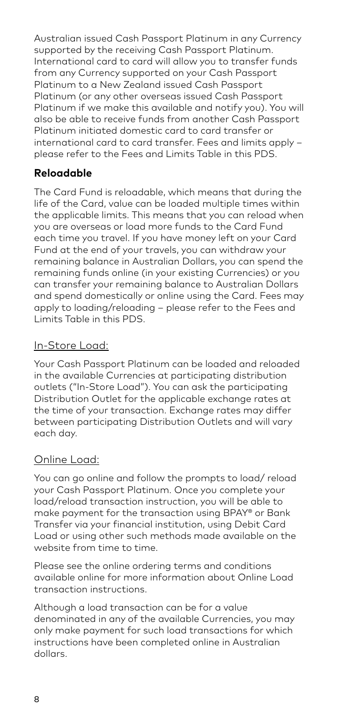Australian issued Cash Passport Platinum in any Currency supported by the receiving Cash Passport Platinum. International card to card will allow you to transfer funds from any Currency supported on your Cash Passport Platinum to a New Zealand issued Cash Passport Platinum (or any other overseas issued Cash Passport Platinum if we make this available and notify you). You will also be able to receive funds from another Cash Passport Platinum initiated domestic card to card transfer or international card to card transfer. Fees and limits apply – please refer to the Fees and Limits Table in this PDS.

#### **Reloadable**

The Card Fund is reloadable, which means that during the life of the Card, value can be loaded multiple times within the applicable limits. This means that you can reload when you are overseas or load more funds to the Card Fund each time you travel. If you have money left on your Card Fund at the end of your travels, you can withdraw your remaining balance in Australian Dollars, you can spend the remaining funds online (in your existing Currencies) or you can transfer your remaining balance to Australian Dollars and spend domestically or online using the Card. Fees may apply to loading/reloading – please refer to the Fees and Limits Table in this PDS.

#### In-Store Load:

Your Cash Passport Platinum can be loaded and reloaded in the available Currencies at participating distribution outlets ("In-Store Load"). You can ask the participating Distribution Outlet for the applicable exchange rates at the time of your transaction. Exchange rates may differ between participating Distribution Outlets and will vary each day.

#### Online Load:

You can go online and follow the prompts to load/ reload your Cash Passport Platinum. Once you complete your load/reload transaction instruction, you will be able to make payment for the transaction using BPAY® or Bank Transfer via your financial institution, using Debit Card Load or using other such methods made available on the website from time to time.

Please see the online ordering terms and conditions available online for more information about Online Load transaction instructions.

Although a load transaction can be for a value denominated in any of the available Currencies, you may only make payment for such load transactions for which instructions have been completed online in Australian dollars.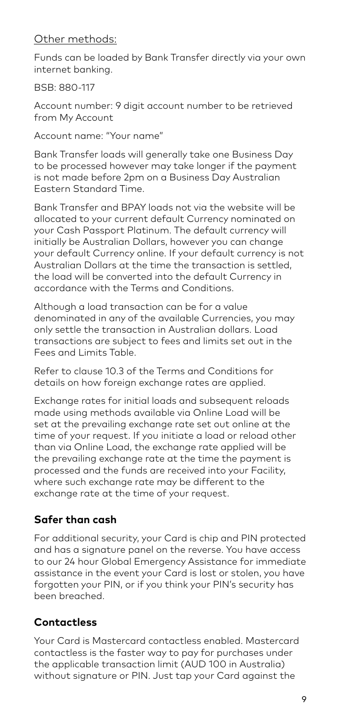#### Other methods:

Funds can be loaded by Bank Transfer directly via your own internet banking.

BSB: 880-117

Account number: 9 digit account number to be retrieved from My Account

Account name: "Your name"

Bank Transfer loads will generally take one Business Day to be processed however may take longer if the payment is not made before 2pm on a Business Day Australian Eastern Standard Time.

Bank Transfer and BPAY loads not via the website will be allocated to your current default Currency nominated on your Cash Passport Platinum. The default currency will initially be Australian Dollars, however you can change your default Currency online. If your default currency is not Australian Dollars at the time the transaction is settled, the load will be converted into the default Currency in accordance with the Terms and Conditions.

Although a load transaction can be for a value denominated in any of the available Currencies, you may only settle the transaction in Australian dollars. Load transactions are subject to fees and limits set out in the Fees and Limits Table.

Refer to clause 10.3 of the Terms and Conditions for details on how foreign exchange rates are applied.

Exchange rates for initial loads and subsequent reloads made using methods available via Online Load will be set at the prevailing exchange rate set out online at the time of your request. If you initiate a load or reload other than via Online Load, the exchange rate applied will be the prevailing exchange rate at the time the payment is processed and the funds are received into your Facility, where such exchange rate may be different to the exchange rate at the time of your request.

### **Safer than cash**

For additional security, your Card is chip and PIN protected and has a signature panel on the reverse. You have access to our 24 hour Global Emergency Assistance for immediate assistance in the event your Card is lost or stolen, you have forgotten your PIN, or if you think your PIN's security has been breached.

## **Contactless**

Your Card is Mastercard contactless enabled. Mastercard contactless is the faster way to pay for purchases under the applicable transaction limit (AUD 100 in Australia) without signature or PIN. Just tap your Card against the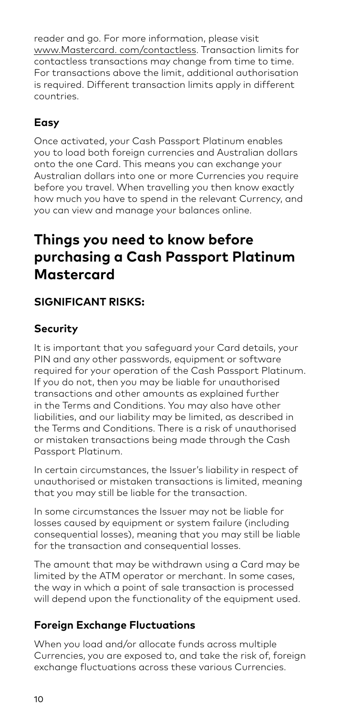reader and go. For more information, please visit www.Mastercard. com/contactless. Transaction limits for contactless transactions may change from time to time. For transactions above the limit, additional authorisation is required. Different transaction limits apply in different countries.

## **Easy**

Once activated, your Cash Passport Platinum enables you to load both foreign currencies and Australian dollars onto the one Card. This means you can exchange your Australian dollars into one or more Currencies you require before you travel. When travelling you then know exactly how much you have to spend in the relevant Currency, and you can view and manage your balances online.

## **Things you need to know before purchasing a Cash Passport Platinum Mastercard**

## **SIGNIFICANT RISKS:**

## **Security**

It is important that you safeguard your Card details, your PIN and any other passwords, equipment or software required for your operation of the Cash Passport Platinum. If you do not, then you may be liable for unauthorised transactions and other amounts as explained further in the Terms and Conditions. You may also have other liabilities, and our liability may be limited, as described in the Terms and Conditions. There is a risk of unauthorised or mistaken transactions being made through the Cash Passport Platinum.

In certain circumstances, the Issuer's liability in respect of unauthorised or mistaken transactions is limited, meaning that you may still be liable for the transaction.

In some circumstances the Issuer may not be liable for losses caused by equipment or system failure (including consequential losses), meaning that you may still be liable for the transaction and consequential losses.

The amount that may be withdrawn using a Card may be limited by the ATM operator or merchant. In some cases, the way in which a point of sale transaction is processed will depend upon the functionality of the equipment used.

## **Foreign Exchange Fluctuations**

When you load and/or allocate funds across multiple Currencies, you are exposed to, and take the risk of, foreign exchange fluctuations across these various Currencies.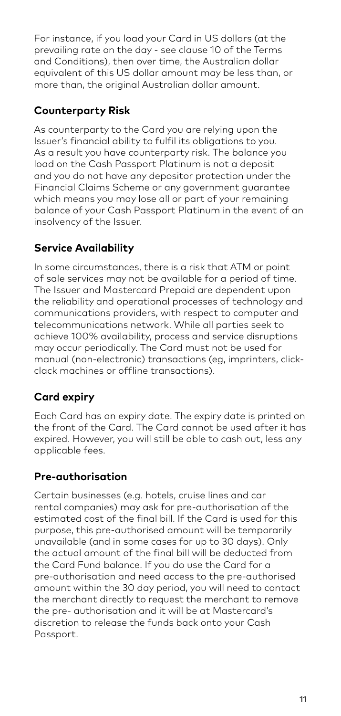For instance, if you load your Card in US dollars (at the prevailing rate on the day - see clause 10 of the Terms and Conditions), then over time, the Australian dollar equivalent of this US dollar amount may be less than, or more than, the original Australian dollar amount.

#### **Counterparty Risk**

As counterparty to the Card you are relying upon the Issuer's financial ability to fulfil its obligations to you. As a result you have counterparty risk. The balance you load on the Cash Passport Platinum is not a deposit and you do not have any depositor protection under the Financial Claims Scheme or any government guarantee which means you may lose all or part of your remaining balance of your Cash Passport Platinum in the event of an insolvency of the Issuer.

## **Service Availability**

In some circumstances, there is a risk that ATM or point of sale services may not be available for a period of time. The Issuer and Mastercard Prepaid are dependent upon the reliability and operational processes of technology and communications providers, with respect to computer and telecommunications network. While all parties seek to achieve 100% availability, process and service disruptions may occur periodically. The Card must not be used for manual (non-electronic) transactions (eg, imprinters, clickclack machines or offline transactions).

## **Card expiry**

Each Card has an expiry date. The expiry date is printed on the front of the Card. The Card cannot be used after it has expired. However, you will still be able to cash out, less any applicable fees.

### **Pre-authorisation**

Certain businesses (e.g. hotels, cruise lines and car rental companies) may ask for pre-authorisation of the estimated cost of the final bill. If the Card is used for this purpose, this pre-authorised amount will be temporarily unavailable (and in some cases for up to 30 days). Only the actual amount of the final bill will be deducted from the Card Fund balance. If you do use the Card for a pre-authorisation and need access to the pre-authorised amount within the 30 day period, you will need to contact the merchant directly to request the merchant to remove the pre- authorisation and it will be at Mastercard's discretion to release the funds back onto your Cash Passport.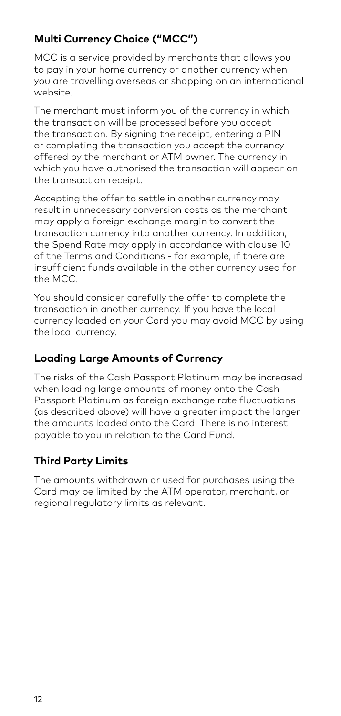### **Multi Currency Choice ("MCC")**

MCC is a service provided by merchants that allows you to pay in your home currency or another currency when you are travelling overseas or shopping on an international website.

The merchant must inform you of the currency in which the transaction will be processed before you accept the transaction. By signing the receipt, entering a PIN or completing the transaction you accept the currency offered by the merchant or ATM owner. The currency in which you have authorised the transaction will appear on the transaction receipt.

Accepting the offer to settle in another currency may result in unnecessary conversion costs as the merchant may apply a foreign exchange margin to convert the transaction currency into another currency. In addition, the Spend Rate may apply in accordance with clause 10 of the Terms and Conditions - for example, if there are insufficient funds available in the other currency used for the MCC.

You should consider carefully the offer to complete the transaction in another currency. If you have the local currency loaded on your Card you may avoid MCC by using the local currency.

#### **Loading Large Amounts of Currency**

The risks of the Cash Passport Platinum may be increased when loading large amounts of money onto the Cash Passport Platinum as foreign exchange rate fluctuations (as described above) will have a greater impact the larger the amounts loaded onto the Card. There is no interest payable to you in relation to the Card Fund.

#### **Third Party Limits**

The amounts withdrawn or used for purchases using the Card may be limited by the ATM operator, merchant, or regional regulatory limits as relevant.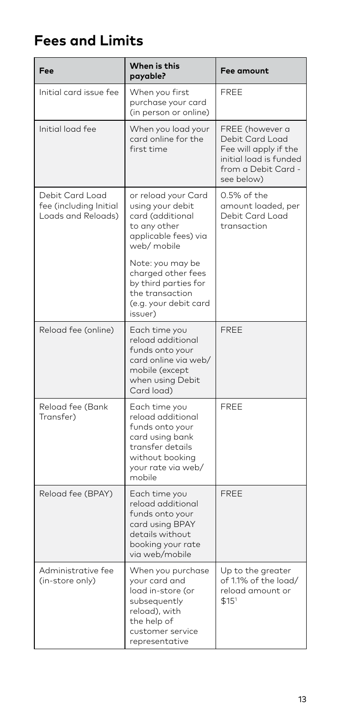## **Fees and Limits**

| Fee                                                             | When is this<br>payable?                                                                                                                        | Fee amount                                                                                                                 |
|-----------------------------------------------------------------|-------------------------------------------------------------------------------------------------------------------------------------------------|----------------------------------------------------------------------------------------------------------------------------|
| Initial card issue fee                                          | When you first<br>purchase your card<br>(in person or online)                                                                                   | FREE                                                                                                                       |
| Initial load fee                                                | When you load your<br>card online for the<br>first time                                                                                         | FREE (however a<br>Debit Card Load<br>Fee will apply if the<br>initial load is funded<br>from a Debit Card -<br>see below) |
| Debit Card Load<br>fee (including Initial<br>Loads and Reloads) | or reload your Card<br>using your debit<br>card (additional<br>to any other<br>applicable fees) via<br>web/ mobile                              | 0.5% of the<br>amount loaded, per<br>Debit Card Load<br>transaction                                                        |
|                                                                 | Note: you may be<br>charged other fees<br>by third parties for<br>the transaction<br>(e.g. your debit card<br>issuer)                           |                                                                                                                            |
| Reload fee (online)                                             | Each time you<br>reload additional<br>funds onto your<br>card online via web/<br>mobile (except<br>when using Debit<br>Card load)               | FREE                                                                                                                       |
| Reload fee (Bank<br>Transfer)                                   | Each time you<br>reload additional<br>funds onto your<br>card using bank<br>transfer details<br>without booking<br>your rate via web/<br>mobile | FREE                                                                                                                       |
| Reload fee (BPAY)                                               | Each time you<br>reload additional<br>funds onto your<br>card using BPAY<br>details without<br>booking your rate<br>via web/mobile              | FREE                                                                                                                       |
| Administrative fee<br>(in-store only)                           | When you purchase<br>your card and<br>load in-store (or<br>subsequently<br>reload), with<br>the help of<br>customer service<br>representative   | Up to the greater<br>of 1.1% of the load/<br>reload amount or<br>\$15'                                                     |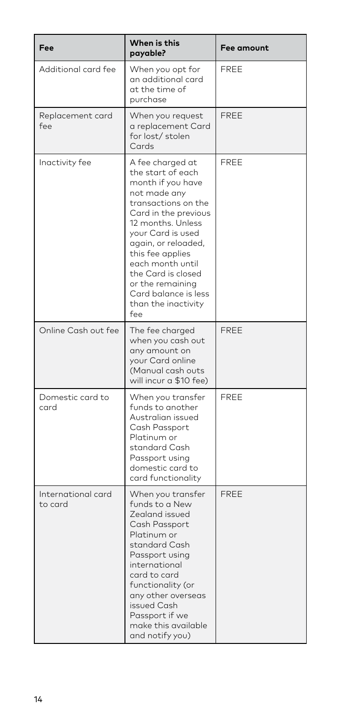| Fee                           | When is this<br>payable?                                                                                                                                                                                                                                                                                                           | Fee amount  |
|-------------------------------|------------------------------------------------------------------------------------------------------------------------------------------------------------------------------------------------------------------------------------------------------------------------------------------------------------------------------------|-------------|
| Additional card fee           | When you opt for<br>an additional card<br>at the time of<br>purchase                                                                                                                                                                                                                                                               | <b>FREE</b> |
| Replacement card<br>fee       | When you request<br>a replacement Card<br>for lost/stolen<br>Cards                                                                                                                                                                                                                                                                 | <b>FREE</b> |
| Inactivity fee                | A fee charged at<br>the start of each<br>month if you have<br>not made any<br>transactions on the<br>Card in the previous<br>12 months. Unless<br>your Card is used<br>again, or reloaded,<br>this fee applies<br>each month until<br>the Card is closed<br>or the remaining<br>Card balance is less<br>than the inactivity<br>fee | <b>FREE</b> |
| Online Cash out fee           | The fee charged<br>when you cash out<br>any amount on<br>your Card online<br>(Manual cash outs<br>will incur a \$10 fee)                                                                                                                                                                                                           | FREE        |
| Domestic card to<br>card      | When you transfer<br>funds to another<br>Australian issued<br>Cash Passport<br>Platinum or<br>standard Cash<br>Passport using<br>domestic card to<br>card functionality                                                                                                                                                            | <b>FREE</b> |
| International card<br>to card | When you transfer<br>funds to a New<br>Zealand issued<br>Cash Passport<br>Platinum or<br>standard Cash<br>Passport using<br>international<br>card to card<br>functionality (or<br>any other overseas<br>issued Cash<br>Passport if we<br>make this available<br>and notify you)                                                    | FREE        |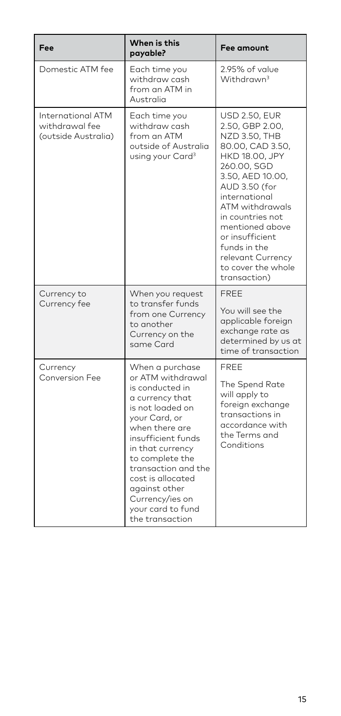| Fee                                                               | When is this<br>payable?                                                                                                                                                                                                                                                                                               | <b>Fee amount</b>                                                                                                                                                                                                                                                                                                                         |
|-------------------------------------------------------------------|------------------------------------------------------------------------------------------------------------------------------------------------------------------------------------------------------------------------------------------------------------------------------------------------------------------------|-------------------------------------------------------------------------------------------------------------------------------------------------------------------------------------------------------------------------------------------------------------------------------------------------------------------------------------------|
| Domestic ATM fee                                                  | Each time you<br>withdraw cash<br>from an ATM in<br>Australia                                                                                                                                                                                                                                                          | 2.95% of value<br>Withdrawn <sup>3</sup>                                                                                                                                                                                                                                                                                                  |
| <b>International ATM</b><br>withdrawal fee<br>(outside Australia) | Each time you<br>withdraw cash<br>from an ATM<br>outside of Australia<br>using your Card <sup>3</sup>                                                                                                                                                                                                                  | <b>USD 2.50, EUR</b><br>2.50, GBP 2.00,<br><b>NZD 3.50, THB</b><br>80.00, CAD 3.50,<br><b>HKD 18.00, JPY</b><br>260.00, SGD<br>3.50, AED 10.00,<br>AUD 3.50 (for<br>international<br>ATM withdrawals<br>in countries not<br>mentioned above<br>or insufficient<br>funds in the<br>relevant Currency<br>to cover the whole<br>transaction) |
| Currency to<br>Currency fee                                       | When you request<br>to transfer funds<br>from one Currency<br>to another<br>Currency on the<br>same Card                                                                                                                                                                                                               | <b>FREE</b><br>You will see the<br>applicable foreign<br>exchange rate as<br>determined by us at<br>time of transaction                                                                                                                                                                                                                   |
| Currency<br>Conversion Fee                                        | When a purchase<br>or ATM withdrawal<br>is conducted in<br>a currency that<br>is not loaded on<br>your Card, or<br>when there are<br>insufficient funds<br>in that currency<br>to complete the<br>transaction and the<br>cost is allocated<br>against other<br>Currency/ies on<br>your card to fund<br>the transaction | <b>FREE</b><br>The Spend Rate<br>will apply to<br>foreign exchange<br>transactions in<br>accordance with<br>the Terms and<br>Conditions                                                                                                                                                                                                   |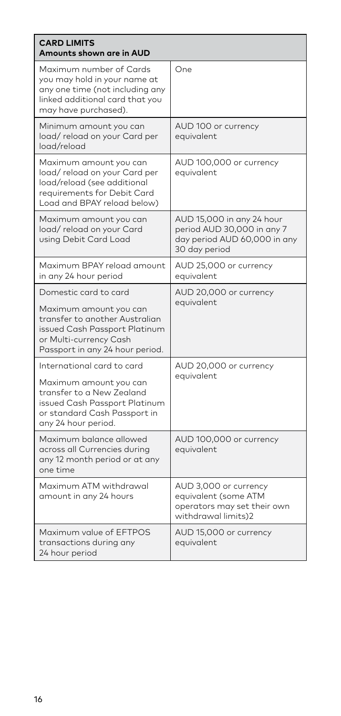| <b>CARD LIMITS</b><br>Amounts shown are in AUD                                                                                                                                  |                                                                                                          |  |  |
|---------------------------------------------------------------------------------------------------------------------------------------------------------------------------------|----------------------------------------------------------------------------------------------------------|--|--|
| Maximum number of Cards<br>you may hold in your name at<br>any one time (not including any<br>linked additional card that you<br>may have purchased).                           | One                                                                                                      |  |  |
| Minimum amount you can<br>load/reload on your Card per<br>load/reload                                                                                                           | AUD 100 or currency<br>equivalent                                                                        |  |  |
| Maximum amount you can<br>load/reload on your Card per<br>load/reload (see additional<br>requirements for Debit Card<br>Load and BPAY reload below)                             | AUD 100,000 or currency<br>equivalent                                                                    |  |  |
| Maximum amount you can<br>load/reload on your Card<br>using Debit Card Load                                                                                                     | AUD 15,000 in any 24 hour<br>period AUD 30,000 in any 7<br>day period AUD 60,000 in any<br>30 day period |  |  |
| Maximum BPAY reload amount<br>in any 24 hour period                                                                                                                             | AUD 25,000 or currency<br>equivalent                                                                     |  |  |
| Domestic card to card<br>Maximum amount you can<br>transfer to another Australian<br>issued Cash Passport Platinum<br>or Multi-currency Cash<br>Passport in any 24 hour period. | AUD 20,000 or currency<br>equivalent                                                                     |  |  |
| International card to card<br>Maximum amount you can<br>transfer to a New Zealand<br>issued Cash Passport Platinum<br>or standard Cash Passport in<br>any 24 hour period.       | AUD 20,000 or currency<br>equivalent                                                                     |  |  |
| Maximum balance allowed<br>across all Currencies during<br>any 12 month period or at any<br>one time                                                                            | AUD 100,000 or currency<br>equivalent                                                                    |  |  |
| Maximum ATM withdrawal<br>amount in any 24 hours                                                                                                                                | AUD 3,000 or currency<br>equivalent (some ATM<br>operators may set their own<br>withdrawal limits)2      |  |  |
| Maximum value of EFTPOS<br>transactions during any<br>24 hour period                                                                                                            | AUD 15,000 or currency<br>equivalent                                                                     |  |  |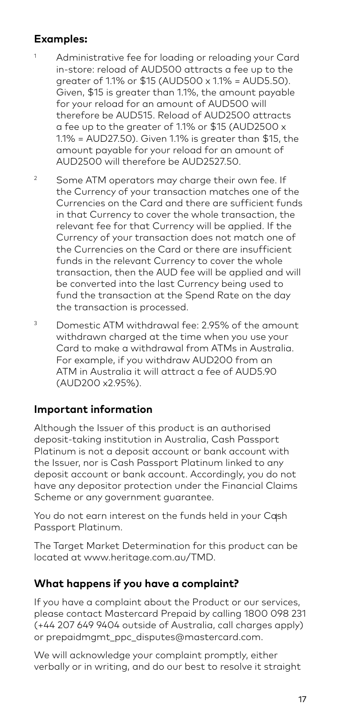#### **Examples:**

- <sup>1</sup> Administrative fee for loading or reloading your Card in-store: reload of AUD500 attracts a fee up to the greater of 11% or \$15 (AUD500  $\times$  11% = AUD5.50). Given, \$15 is greater than 1.1%, the amount payable for your reload for an amount of AUD500 will therefore be AUD515. Reload of AUD2500 attracts a fee up to the greater of 1.1% or \$15 (AUD2500 x 1.1% = AUD27.50). Given 1.1% is greater than \$15, the amount payable for your reload for an amount of AUD2500 will therefore be AUD2527.50.
- $\overline{2}$  Some ATM operators may charge their own fee. If the Currency of your transaction matches one of the Currencies on the Card and there are sufficient funds in that Currency to cover the whole transaction, the relevant fee for that Currency will be applied. If the Currency of your transaction does not match one of the Currencies on the Card or there are insufficient funds in the relevant Currency to cover the whole transaction, then the AUD fee will be applied and will be converted into the last Currency being used to fund the transaction at the Spend Rate on the day the transaction is processed.
- 3 Domestic ATM withdrawal fee: 2.95% of the amount withdrawn charged at the time when you use your Card to make a withdrawal from ATMs in Australia. For example, if you withdraw AUD200 from an ATM in Australia it will attract a fee of AUD5.90 (AUD200 x2.95%).

#### **Important information**

Although the Issuer of this product is an authorised deposit-taking institution in Australia, Cash Passport Platinum is not a deposit account or bank account with the Issuer, nor is Cash Passport Platinum linked to any deposit account or bank account. Accordingly, you do not have any depositor protection under the Financial Claims Scheme or any government guarantee.

You do not earn interest on the funds held in your Cash Passport Platinum.

The Target Market Determination for this product can be located at www.heritage.com.au/TMD.

#### **What happens if you have a complaint?**

If you have a complaint about the Product or our services, please contact Mastercard Prepaid by calling 1800 098 231 (+44 207 649 9404 outside of Australia, call charges apply) or prepaidmgmt\_ppc\_disputes@mastercard.com.

We will acknowledge your complaint promptly, either verbally or in writing, and do our best to resolve it straight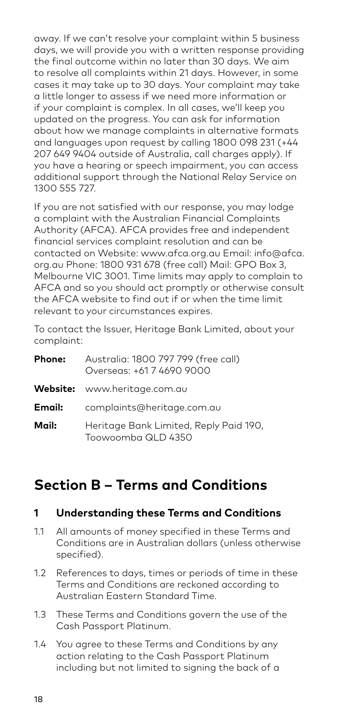away. If we can't resolve your complaint within 5 business days, we will provide you with a written response providing the final outcome within no later than 30 days. We aim to resolve all complaints within 21 days. However, in some cases it may take up to 30 days. Your complaint may take a little longer to assess if we need more information or if your complaint is complex. In all cases, we'll keep you updated on the progress. You can ask for information about how we manage complaints in alternative formats and languages upon request by calling 1800 098 231 (+44 207 649 9404 outside of Australia, call charges apply). If you have a hearing or speech impairment, you can access additional support through the National Relay Service on 1300 555 727.

If you are not satisfied with our response, you may lodge a complaint with the Australian Financial Complaints Authority (AFCA). AFCA provides free and independent financial services complaint resolution and can be contacted on Website: www.afca.org.au Email: info@afca. org.au Phone: 1800 931 678 (free call) Mail: GPO Box 3, Melbourne VIC 3001. Time limits may apply to complain to AFCA and so you should act promptly or otherwise consult the AFCA website to find out if or when the time limit relevant to your circumstances expires.

To contact the Issuer, Heritage Bank Limited, about your complaint:

| Phone: | Australia: 1800 797 799 (free call)<br>Overseas: +61.7 4690.9000 |
|--------|------------------------------------------------------------------|
|        | <b>Website:</b> www.heritage.com.au                              |
| Email: | complaints@heritage.com.au                                       |
| Mail:  | Heritage Bank Limited, Reply Paid 190,<br>Toowoomba QLD 4350     |

## **Section B – Terms and Conditions**

#### **1 Understanding these Terms and Conditions**

- 1.1 All amounts of money specified in these Terms and Conditions are in Australian dollars (unless otherwise specified).
- 1.2 References to days, times or periods of time in these Terms and Conditions are reckoned according to Australian Eastern Standard Time.
- 1.3 These Terms and Conditions govern the use of the Cash Passport Platinum.
- 1.4 You agree to these Terms and Conditions by any action relating to the Cash Passport Platinum including but not limited to signing the back of a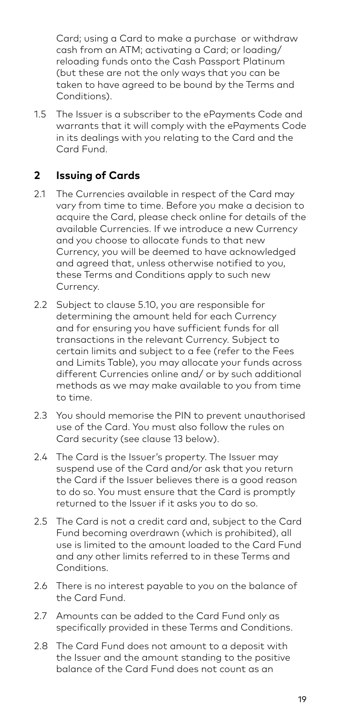Card; using a Card to make a purchase or withdraw cash from an ATM; activating a Card; or loading/ reloading funds onto the Cash Passport Platinum (but these are not the only ways that you can be taken to have agreed to be bound by the Terms and Conditions).

1.5 The Issuer is a subscriber to the ePayments Code and warrants that it will comply with the ePayments Code in its dealings with you relating to the Card and the Card Fund.

#### **2 Issuing of Cards**

- 2.1 The Currencies available in respect of the Card may vary from time to time. Before you make a decision to acquire the Card, please check online for details of the available Currencies. If we introduce a new Currency and you choose to allocate funds to that new Currency, you will be deemed to have acknowledged and agreed that, unless otherwise notified to you, these Terms and Conditions apply to such new Currency.
- 2.2 Subject to clause 5.10, you are responsible for determining the amount held for each Currency and for ensuring you have sufficient funds for all transactions in the relevant Currency. Subject to certain limits and subject to a fee (refer to the Fees and Limits Table), you may allocate your funds across different Currencies online and/ or by such additional methods as we may make available to you from time to time.
- 2.3 You should memorise the PIN to prevent unauthorised use of the Card. You must also follow the rules on Card security (see clause 13 below).
- 2.4 The Card is the Issuer's property. The Issuer may suspend use of the Card and/or ask that you return the Card if the Issuer believes there is a good reason to do so. You must ensure that the Card is promptly returned to the Issuer if it asks you to do so.
- 2.5 The Card is not a credit card and, subject to the Card Fund becoming overdrawn (which is prohibited), all use is limited to the amount loaded to the Card Fund and any other limits referred to in these Terms and Conditions.
- 2.6 There is no interest payable to you on the balance of the Card Fund.
- 2.7 Amounts can be added to the Card Fund only as specifically provided in these Terms and Conditions.
- 2.8 The Card Fund does not amount to a deposit with the Issuer and the amount standing to the positive balance of the Card Fund does not count as an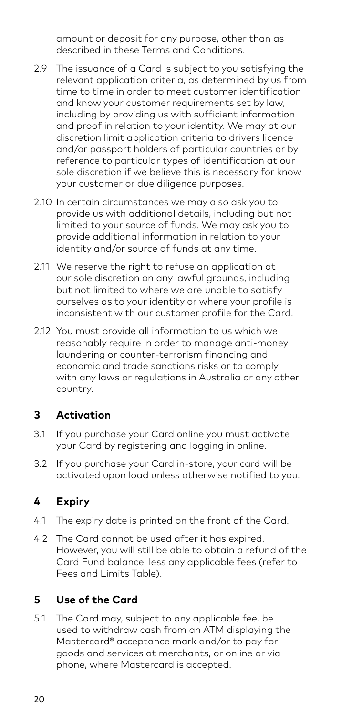amount or deposit for any purpose, other than as described in these Terms and Conditions.

- 2.9 The issuance of a Card is subject to you satisfying the relevant application criteria, as determined by us from time to time in order to meet customer identification and know your customer requirements set by law, including by providing us with sufficient information and proof in relation to your identity. We may at our discretion limit application criteria to drivers licence and/or passport holders of particular countries or by reference to particular types of identification at our sole discretion if we believe this is necessary for know your customer or due diligence purposes.
- 2.10 In certain circumstances we may also ask you to provide us with additional details, including but not limited to your source of funds. We may ask you to provide additional information in relation to your identity and/or source of funds at any time.
- 2.11 We reserve the right to refuse an application at our sole discretion on any lawful grounds, including but not limited to where we are unable to satisfy ourselves as to your identity or where your profile is inconsistent with our customer profile for the Card.
- 2.12 You must provide all information to us which we reasonably require in order to manage anti-money laundering or counter-terrorism financing and economic and trade sanctions risks or to comply with any laws or regulations in Australia or any other country.

#### **3 Activation**

- 3.1 If you purchase your Card online you must activate your Card by registering and logging in online.
- 3.2 If you purchase your Card in-store, your card will be activated upon load unless otherwise notified to you.

## **4 Expiry**

- 4.1 The expiry date is printed on the front of the Card.
- 4.2 The Card cannot be used after it has expired. However, you will still be able to obtain a refund of the Card Fund balance, less any applicable fees (refer to Fees and Limits Table).

## **5 Use of the Card**

5.1 The Card may, subject to any applicable fee, be used to withdraw cash from an ATM displaying the Mastercard® acceptance mark and/or to pay for goods and services at merchants, or online or via phone, where Mastercard is accepted.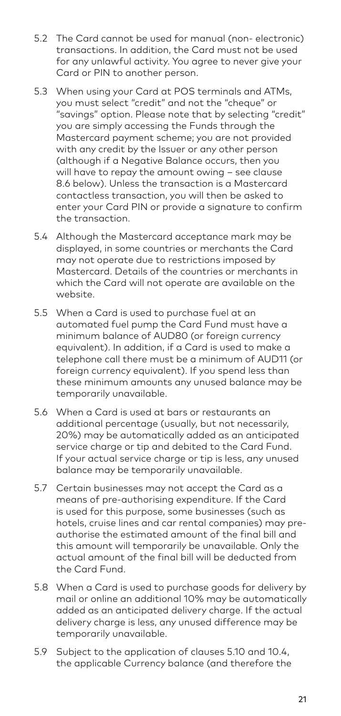- 5.2 The Card cannot be used for manual (non- electronic) transactions. In addition, the Card must not be used for any unlawful activity. You agree to never give your Card or PIN to another person.
- 5.3 When using your Card at POS terminals and ATMs, you must select "credit" and not the "cheque" or .<br>"savinas" option. Please note that by selectina "credit" you are simply accessing the Funds through the Mastercard payment scheme; you are not provided with any credit by the Issuer or any other person (although if a Negative Balance occurs, then you will have to repay the amount owing – see clause 8.6 below). Unless the transaction is a Mastercard contactless transaction, you will then be asked to enter your Card PIN or provide a signature to confirm the transaction.
- 5.4 Although the Mastercard acceptance mark may be displayed, in some countries or merchants the Card may not operate due to restrictions imposed by Mastercard. Details of the countries or merchants in which the Card will not operate are available on the website.
- 5.5 When a Card is used to purchase fuel at an automated fuel pump the Card Fund must have a minimum balance of AUD80 (or foreign currency equivalent). In addition, if a Card is used to make a telephone call there must be a minimum of AUD11 (or foreign currency equivalent). If you spend less than these minimum amounts any unused balance may be temporarily unavailable.
- 5.6 When a Card is used at bars or restaurants an additional percentage (usually, but not necessarily, 20%) may be automatically added as an anticipated service charge or tip and debited to the Card Fund. If your actual service charge or tip is less, any unused balance may be temporarily unavailable.
- 5.7 Certain businesses may not accept the Card as a means of pre-authorising expenditure. If the Card is used for this purpose, some businesses (such as hotels, cruise lines and car rental companies) may preauthorise the estimated amount of the final bill and this amount will temporarily be unavailable. Only the actual amount of the final bill will be deducted from the Card Fund.
- 5.8 When a Card is used to purchase goods for delivery by mail or online an additional 10% may be automatically added as an anticipated delivery charge. If the actual delivery charge is less, any unused difference may be temporarily unavailable.
- 5.9 Subject to the application of clauses 5.10 and 10.4, the applicable Currency balance (and therefore the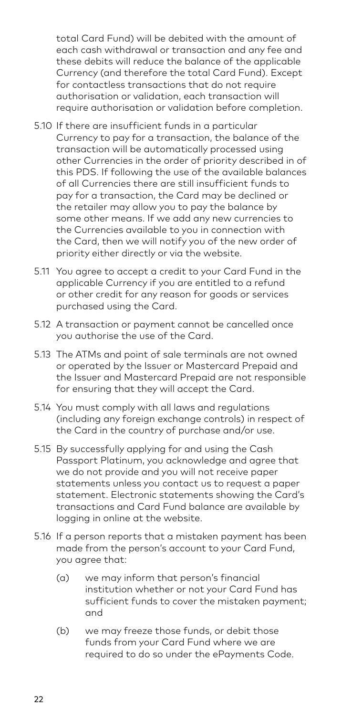total Card Fund) will be debited with the amount of each cash withdrawal or transaction and any fee and these debits will reduce the balance of the applicable Currency (and therefore the total Card Fund). Except for contactless transactions that do not require authorisation or validation, each transaction will require authorisation or validation before completion.

- 5.10 If there are insufficient funds in a particular Currency to pay for a transaction, the balance of the transaction will be automatically processed using other Currencies in the order of priority described in of this PDS. If following the use of the available balances of all Currencies there are still insufficient funds to pay for a transaction, the Card may be declined or the retailer may allow you to pay the balance by some other means. If we add any new currencies to the Currencies available to you in connection with the Card, then we will notify you of the new order of priority either directly or via the website.
- 5.11 You agree to accept a credit to your Card Fund in the applicable Currency if you are entitled to a refund or other credit for any reason for goods or services purchased using the Card.
- 5.12 A transaction or payment cannot be cancelled once you authorise the use of the Card.
- 5.13 The ATMs and point of sale terminals are not owned or operated by the Issuer or Mastercard Prepaid and the Issuer and Mastercard Prepaid are not responsible for ensuring that they will accept the Card.
- 5.14 You must comply with all laws and regulations (including any foreign exchange controls) in respect of the Card in the country of purchase and/or use.
- 5.15 By successfully applying for and using the Cash Passport Platinum, you acknowledge and agree that we do not provide and you will not receive paper statements unless you contact us to request a paper statement. Electronic statements showing the Card's transactions and Card Fund balance are available by logging in online at the website.
- 5.16 If a person reports that a mistaken payment has been made from the person's account to your Card Fund, you agree that:
	- (a) we may inform that person's financial institution whether or not your Card Fund has sufficient funds to cover the mistaken payment; and
	- (b) we may freeze those funds, or debit those funds from your Card Fund where we are required to do so under the ePayments Code.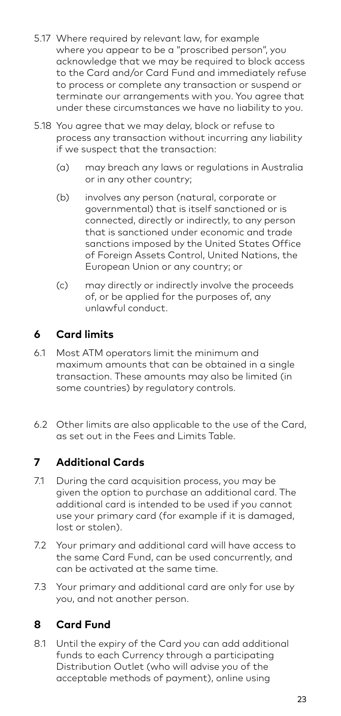- 5.17 Where required by relevant law, for example where you appear to be a "proscribed person", you acknowledge that we may be required to block access to the Card and/or Card Fund and immediately refuse to process or complete any transaction or suspend or terminate our arrangements with you. You agree that under these circumstances we have no liability to you.
- 5.18 You agree that we may delay, block or refuse to process any transaction without incurring any liability if we suspect that the transaction:
	- (a) may breach any laws or regulations in Australia or in any other country;
	- (b) involves any person (natural, corporate or governmental) that is itself sanctioned or is connected, directly or indirectly, to any person that is sanctioned under economic and trade sanctions imposed by the United States Office of Foreign Assets Control, United Nations, the European Union or any country; or
	- (c) may directly or indirectly involve the proceeds of, or be applied for the purposes of, any unlawful conduct.

### **6 Card limits**

- 6.1 Most ATM operators limit the minimum and maximum amounts that can be obtained in a single transaction. These amounts may also be limited (in some countries) by regulatory controls.
- 6.2 Other limits are also applicable to the use of the Card, as set out in the Fees and Limits Table.

### **7 Additional Cards**

- 7.1 During the card acquisition process, you may be given the option to purchase an additional card. The additional card is intended to be used if you cannot use your primary card (for example if it is damaged, lost or stolen).
- 7.2 Your primary and additional card will have access to the same Card Fund, can be used concurrently, and can be activated at the same time.
- 7.3 Your primary and additional card are only for use by you, and not another person.

#### **8 Card Fund**

8.1 Until the expiry of the Card you can add additional funds to each Currency through a participating Distribution Outlet (who will advise you of the acceptable methods of payment), online using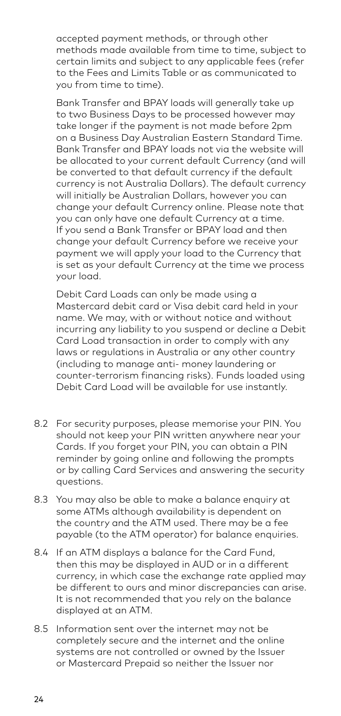accepted payment methods, or through other methods made available from time to time, subject to certain limits and subject to any applicable fees (refer to the Fees and Limits Table or as communicated to you from time to time).

 Bank Transfer and BPAY loads will generally take up to two Business Days to be processed however may take longer if the payment is not made before 2pm on a Business Day Australian Eastern Standard Time. Bank Transfer and BPAY loads not via the website will be allocated to your current default Currency (and will be converted to that default currency if the default currency is not Australia Dollars). The default currency will initially be Australian Dollars, however you can change your default Currency online. Please note that you can only have one default Currency at a time. If you send a Bank Transfer or BPAY load and then change your default Currency before we receive your payment we will apply your load to the Currency that is set as your default Currency at the time we process your load.

 Debit Card Loads can only be made using a Mastercard debit card or Visa debit card held in your name. We may, with or without notice and without incurring any liability to you suspend or decline a Debit Card Load transaction in order to comply with any laws or regulations in Australia or any other country (including to manage anti- money laundering or counter-terrorism financing risks). Funds loaded using Debit Card Load will be available for use instantly.

- 8.2 For security purposes, please memorise your PIN. You should not keep your PIN written anywhere near your Cards. If you forget your PIN, you can obtain a PIN reminder by going online and following the prompts or by calling Card Services and answering the security questions.
- 8.3 You may also be able to make a balance enquiry at some ATMs although availability is dependent on the country and the ATM used. There may be a fee payable (to the ATM operator) for balance enquiries.
- 8.4 If an ATM displays a balance for the Card Fund, then this may be displayed in AUD or in a different currency, in which case the exchange rate applied may be different to ours and minor discrepancies can arise. It is not recommended that you rely on the balance displayed at an ATM.
- 8.5 Information sent over the internet may not be completely secure and the internet and the online systems are not controlled or owned by the Issuer or Mastercard Prepaid so neither the Issuer nor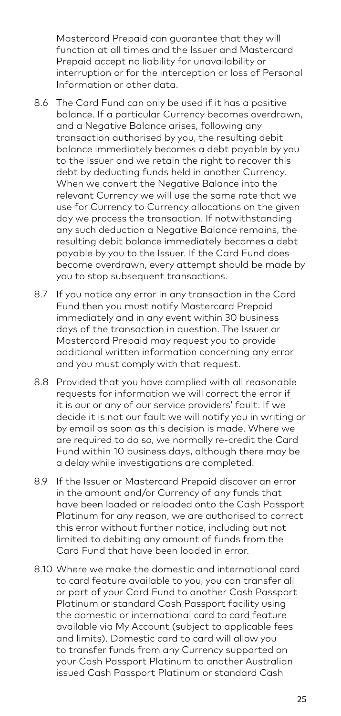Mastercard Prepaid can guarantee that they will function at all times and the Issuer and Mastercard Prepaid accept no liability for unavailability or interruption or for the interception or loss of Personal Information or other data.

- 8.6 The Card Fund can only be used if it has a positive balance. If a particular Currency becomes overdrawn, and a Negative Balance arises, following any transaction authorised by you, the resulting debit balance immediately becomes a debt payable by you to the Issuer and we retain the right to recover this debt by deducting funds held in another Currency. When we convert the Negative Balance into the relevant Currency we will use the same rate that we use for Currency to Currency allocations on the given day we process the transaction. If notwithstanding any such deduction a Negative Balance remains, the resulting debit balance immediately becomes a debt payable by you to the Issuer. If the Card Fund does become overdrawn, every attempt should be made by you to stop subsequent transactions.
- 8.7 If you notice any error in any transaction in the Card Fund then you must notify Mastercard Prepaid immediately and in any event within 30 business days of the transaction in question. The Issuer or Mastercard Prepaid may request you to provide additional written information concerning any error and you must comply with that request.
- 8.8 Provided that you have complied with all reasonable requests for information we will correct the error if it is our or any of our service providers' fault. If we decide it is not our fault we will notify you in writing or by email as soon as this decision is made. Where we are required to do so, we normally re-credit the Card Fund within 10 business days, although there may be a delay while investigations are completed.
- 8.9 If the Issuer or Mastercard Prepaid discover an error in the amount and/or Currency of any funds that have been loaded or reloaded onto the Cash Passport Platinum for any reason, we are authorised to correct this error without further notice, including but not limited to debiting any amount of funds from the Card Fund that have been loaded in error.
- 8.10 Where we make the domestic and international card to card feature available to you, you can transfer all or part of your Card Fund to another Cash Passport Platinum or standard Cash Passport facility using the domestic or international card to card feature available via My Account (subject to applicable fees and limits). Domestic card to card will allow you to transfer funds from any Currency supported on your Cash Passport Platinum to another Australian issued Cash Passport Platinum or standard Cash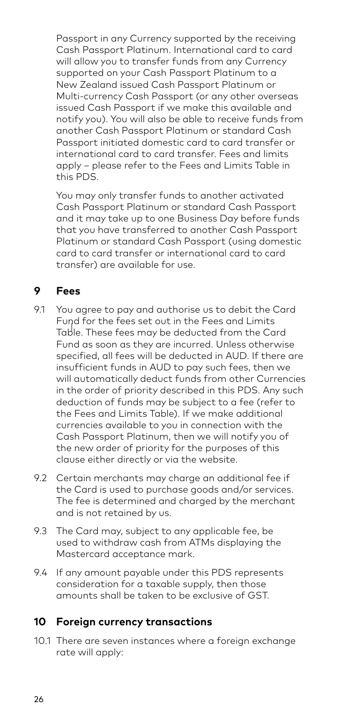Passport in any Currency supported by the receiving Cash Passport Platinum. International card to card will allow you to transfer funds from any Currency supported on your Cash Passport Platinum to a New Zealand issued Cash Passport Platinum or Multi-currency Cash Passport (or any other overseas issued Cash Passport if we make this available and notify you). You will also be able to receive funds from another Cash Passport Platinum or standard Cash Passport initiated domestic card to card transfer or international card to card transfer. Fees and limits apply – please refer to the Fees and Limits Table in this PDS.

 You may only transfer funds to another activated Cash Passport Platinum or standard Cash Passport and it may take up to one Business Day before funds that you have transferred to another Cash Passport Platinum or standard Cash Passport (using domestic card to card transfer or international card to card transfer) are available for use.

### **9 Fees**

- 9.1 You agree to pay and authorise us to debit the Card Fund for the fees set out in the Fees and Limits Table. These fees may be deducted from the Card Fund as soon as they are incurred. Unless otherwise specified, all fees will be deducted in AUD. If there are insufficient funds in AUD to pay such fees, then we will automatically deduct funds from other Currencies in the order of priority described in this PDS. Any such deduction of funds may be subject to a fee (refer to the Fees and Limits Table). If we make additional currencies available to you in connection with the Cash Passport Platinum, then we will notify you of the new order of priority for the purposes of this clause either directly or via the website.
- 9.2 Certain merchants may charge an additional fee if the Card is used to purchase goods and/or services. The fee is determined and charged by the merchant and is not retained by us.
- 9.3 The Card may, subject to any applicable fee, be used to withdraw cash from ATMs displaying the Mastercard acceptance mark.
- 9.4 If any amount payable under this PDS represents consideration for a taxable supply, then those amounts shall be taken to be exclusive of GST.

#### **10 Foreign currency transactions**

10.1 There are seven instances where a foreign exchange rate will apply: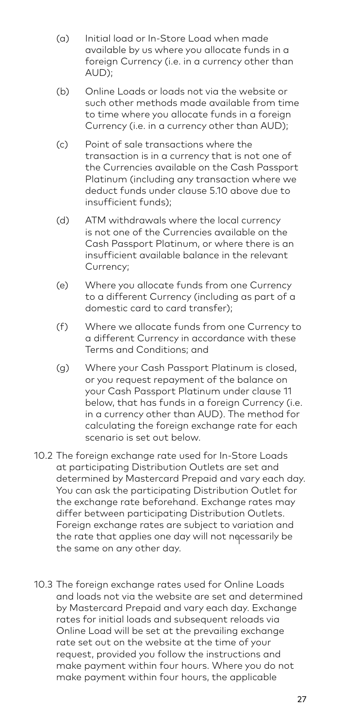- (a) Initial load or In-Store Load when made available by us where you allocate funds in a foreign Currency (i.e. in a currency other than AUD);
- (b) Online Loads or loads not via the website or such other methods made available from time to time where you allocate funds in a foreign Currency (i.e. in a currency other than AUD);
- (c) Point of sale transactions where the transaction is in a currency that is not one of the Currencies available on the Cash Passport Platinum (including any transaction where we deduct funds under clause 5.10 above due to insufficient funds);
- (d) ATM withdrawals where the local currency is not one of the Currencies available on the Cash Passport Platinum, or where there is an insufficient available balance in the relevant Currency;
- (e) Where you allocate funds from one Currency to a different Currency (including as part of a domestic card to card transfer);
- (f) Where we allocate funds from one Currency to a different Currency in accordance with these Terms and Conditions; and
- (g) Where your Cash Passport Platinum is closed, or you request repayment of the balance on your Cash Passport Platinum under clause 11 below, that has funds in a foreign Currency (i.e. in a currency other than AUD). The method for calculating the foreign exchange rate for each scenario is set out below.
- 10.2 The foreign exchange rate used for In-Store Loads at participating Distribution Outlets are set and determined by Mastercard Prepaid and vary each day. You can ask the participating Distribution Outlet for the exchange rate beforehand. Exchange rates may differ between participating Distribution Outlets. Foreign exchange rates are subject to variation and the rate that applies one day will not necessarily be the same on any other day.
- 10.3 The foreign exchange rates used for Online Loads and loads not via the website are set and determined by Mastercard Prepaid and vary each day. Exchange rates for initial loads and subsequent reloads via Online Load will be set at the prevailing exchange rate set out on the website at the time of your request, provided you follow the instructions and make payment within four hours. Where you do not make payment within four hours, the applicable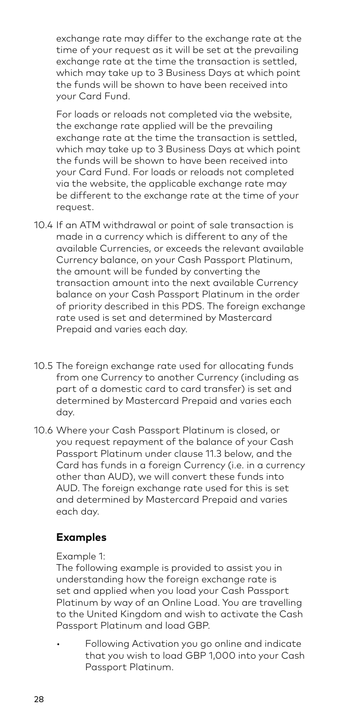exchange rate may differ to the exchange rate at the time of your request as it will be set at the prevailing exchange rate at the time the transaction is settled, which may take up to 3 Business Days at which point the funds will be shown to have been received into your Card Fund.

 For loads or reloads not completed via the website, the exchange rate applied will be the prevailing exchange rate at the time the transaction is settled, which may take up to 3 Business Days at which point the funds will be shown to have been received into your Card Fund. For loads or reloads not completed via the website, the applicable exchange rate may be different to the exchange rate at the time of your request.

- 10.4 If an ATM withdrawal or point of sale transaction is made in a currency which is different to any of the available Currencies, or exceeds the relevant available Currency balance, on your Cash Passport Platinum, the amount will be funded by converting the transaction amount into the next available Currency balance on your Cash Passport Platinum in the order of priority described in this PDS. The foreign exchange rate used is set and determined by Mastercard Prepaid and varies each day.
- 10.5 The foreign exchange rate used for allocating funds from one Currency to another Currency (including as part of a domestic card to card transfer) is set and determined by Mastercard Prepaid and varies each day.
- 10.6 Where your Cash Passport Platinum is closed, or you request repayment of the balance of your Cash Passport Platinum under clause 11.3 below, and the Card has funds in a foreign Currency (i.e. in a currency other than AUD), we will convert these funds into AUD. The foreign exchange rate used for this is set and determined by Mastercard Prepaid and varies each day.

#### **Examples**

#### Example 1:

The following example is provided to assist you in understanding how the foreign exchange rate is set and applied when you load your Cash Passport Platinum by way of an Online Load. You are travelling to the United Kingdom and wish to activate the Cash Passport Platinum and load GBP.

Following Activation you go online and indicate that you wish to load GBP 1,000 into your Cash Passport Platinum.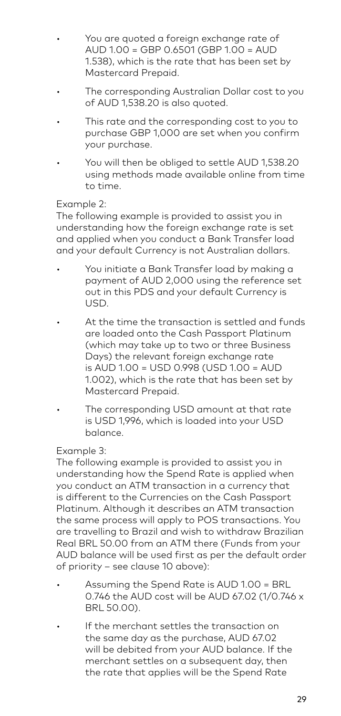- You are quoted a foreign exchange rate of AUD 1.00 = GBP 0.6501 (GBP 1.00 = AUD 1.538), which is the rate that has been set by Mastercard Prepaid.
- The corresponding Australian Dollar cost to you of AUD 1,538.20 is also quoted.
- This rate and the corresponding cost to you to purchase GBP 1,000 are set when you confirm your purchase.
- You will then be obliged to settle AUD 1,538.20 using methods made available online from time to time.

#### Example 2:

The following example is provided to assist you in understanding how the foreign exchange rate is set and applied when you conduct a Bank Transfer load and your default Currency is not Australian dollars.

- You initiate a Bank Transfer load by making a payment of AUD 2,000 using the reference set out in this PDS and your default Currency is USD.
- At the time the transaction is settled and funds are loaded onto the Cash Passport Platinum (which may take up to two or three Business Days) the relevant foreign exchange rate is AUD 1.00 = USD 0.998 (USD 1.00 = AUD 1.002), which is the rate that has been set by Mastercard Prepaid.
- The corresponding USD amount at that rate is USD 1,996, which is loaded into your USD balance.

#### Example 3:

 The following example is provided to assist you in understanding how the Spend Rate is applied when you conduct an ATM transaction in a currency that .<br>is different to the Currencies on the Cash Passport Platinum. Although it describes an ATM transaction the same process will apply to POS transactions. You are travelling to Brazil and wish to withdraw Brazilian Real BRL 50.00 from an ATM there (Funds from your AUD balance will be used first as per the default order of priority – see clause 10 above):

- Assuming the Spend Rate is AUD 1.00 = BRL 0.746 the AUD cost will be AUD 67.02 (1/0.746 x BRL 50.00).
- If the merchant settles the transaction on the same day as the purchase, AUD 67.02 will be debited from your AUD balance. If the merchant settles on a subsequent day, then the rate that applies will be the Spend Rate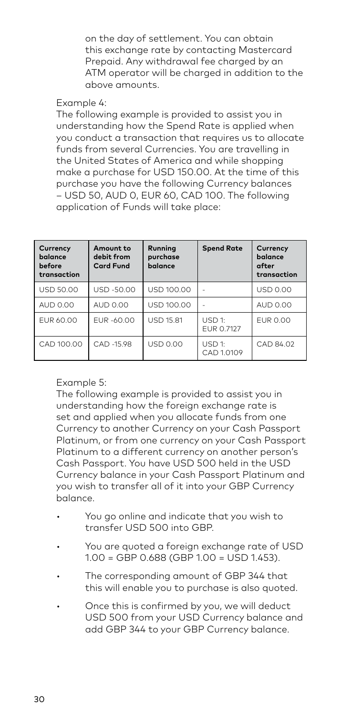on the day of settlement. You can obtain this exchange rate by contacting Mastercard Prepaid. Any withdrawal fee charged by an ATM operator will be charged in addition to the above amounts.

#### Example 4:

 The following example is provided to assist you in understanding how the Spend Rate is applied when you conduct a transaction that requires us to allocate funds from several Currencies. You are travelling in the United States of America and while shopping make a purchase for USD 150.00. At the time of this purchase you have the following Currency balances – USD 50, AUD 0, EUR 60, CAD 100. The following application of Funds will take place:

| Currency<br>balance<br>before<br>transaction | Amount to<br>debit from<br><b>Card Fund</b> | Running<br>purchase<br>balance | <b>Spend Rate</b>    | Currency<br>balance<br>after<br>transaction |
|----------------------------------------------|---------------------------------------------|--------------------------------|----------------------|---------------------------------------------|
| <b>USD 50.00</b>                             | USD-50.00                                   | USD 100.00                     | ٠                    | <b>USD 0.00</b>                             |
| AUD 0.00                                     | AUD 0.00                                    | USD 100.00                     |                      | AUD 0.00                                    |
| <b>FUR 60.00</b>                             | EUR-60.00                                   | <b>USD 15.81</b>               | USD 1:<br>EUR 0.7127 | <b>FUR 0.00</b>                             |
| CAD 100.00                                   | CAD -15.98                                  | <b>USD 0.00</b>                | USD 1:<br>CAD 1.0109 | CAD 84.02                                   |

#### Example 5:

 The following example is provided to assist you in understanding how the foreign exchange rate is set and applied when you allocate funds from one Currency to another Currency on your Cash Passport Platinum, or from one currency on your Cash Passport Platinum to a different currency on another person's Cash Passport. You have USD 500 held in the USD Currency balance in your Cash Passport Platinum and you wish to transfer all of it into your GBP Currency balance.

- You go online and indicate that you wish to transfer USD 500 into GBP.
- You are quoted a foreign exchange rate of USD 1.00 = GBP 0.688 (GBP 1.00 = USD 1.453).
- The corresponding amount of GBP 344 that this will enable you to purchase is also quoted.
- Once this is confirmed by you, we will deduct USD 500 from your USD Currency balance and add GBP 344 to your GBP Currency balance.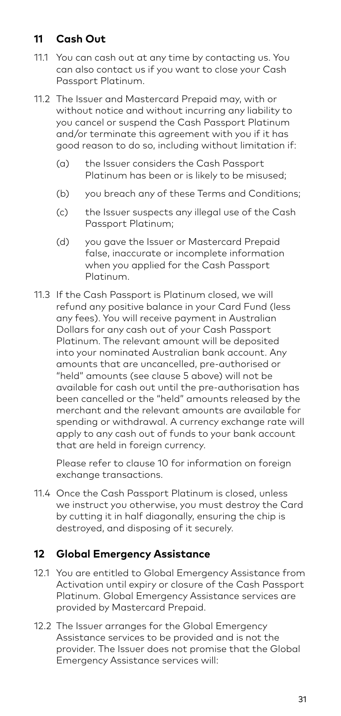#### **11 Cash Out**

- 11.1 You can cash out at any time by contacting us. You can also contact us if you want to close your Cash Passport Platinum.
- 11.2 The Issuer and Mastercard Prepaid may, with or without notice and without incurring any liability to you cancel or suspend the Cash Passport Platinum and/or terminate this agreement with you if it has good reason to do so, including without limitation if:
	- (a) the Issuer considers the Cash Passport Platinum has been or is likely to be misused;
	- (b) you breach any of these Terms and Conditions;
	- (c) the Issuer suspects any illegal use of the Cash Passport Platinum;
	- (d) you gave the Issuer or Mastercard Prepaid false, inaccurate or incomplete information when you applied for the Cash Passport Platinum.
- 11.3 If the Cash Passport is Platinum closed, we will refund any positive balance in your Card Fund (less any fees). You will receive payment in Australian Dollars for any cash out of your Cash Passport Platinum. The relevant amount will be deposited into your nominated Australian bank account. Any amounts that are uncancelled, pre-authorised or "held" amounts (see clause 5 above) will not be available for cash out until the pre-authorisation has been cancelled or the "held" amounts released by the merchant and the relevant amounts are available for spending or withdrawal. A currency exchange rate will apply to any cash out of funds to your bank account that are held in foreign currency.

 Please refer to clause 10 for information on foreign exchange transactions.

11.4 Once the Cash Passport Platinum is closed, unless we instruct you otherwise, you must destroy the Card by cutting it in half diagonally, ensuring the chip is destroyed, and disposing of it securely.

#### **12 Global Emergency Assistance**

- 12.1 You are entitled to Global Emergency Assistance from Activation until expiry or closure of the Cash Passport Platinum. Global Emergency Assistance services are provided by Mastercard Prepaid.
- 12.2 The Issuer arranges for the Global Emergency Assistance services to be provided and is not the provider. The Issuer does not promise that the Global Emergency Assistance services will: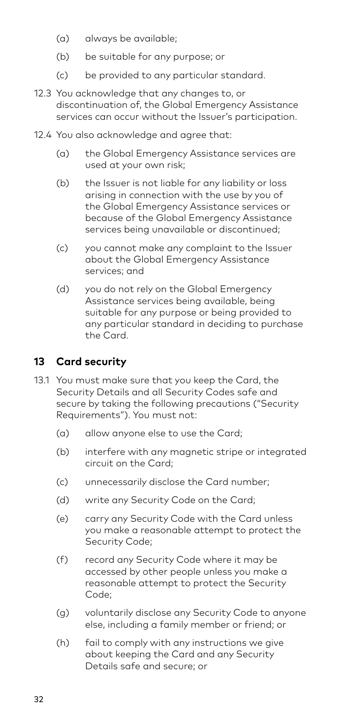- (a) always be available;
- (b) be suitable for any purpose; or
- (c) be provided to any particular standard.
- 12.3 You acknowledge that any changes to, or discontinuation of, the Global Emergency Assistance services can occur without the Issuer's participation.
- 12.4 You also acknowledge and agree that:
	- (a) the Global Emergency Assistance services are used at your own risk;
	- (b) the Issuer is not liable for any liability or loss arising in connection with the use by you of the Global Emergency Assistance services or because of the Global Emergency Assistance services being unavailable or discontinued;
	- (c) you cannot make any complaint to the Issuer about the Global Emergency Assistance services; and
	- (d) you do not rely on the Global Emergency Assistance services being available, being suitable for any purpose or being provided to any particular standard in deciding to purchase the Card.

#### **13 Card security**

- 13.1 You must make sure that you keep the Card, the Security Details and all Security Codes safe and secure by taking the following precautions ("Security Requirements"). You must not:
	- (a) allow anyone else to use the Card;
	- (b) interfere with any magnetic stripe or integrated circuit on the Card;
	- (c) unnecessarily disclose the Card number;
	- (d) write any Security Code on the Card;
	- (e) carry any Security Code with the Card unless you make a reasonable attempt to protect the Security Code;
	- (f) record any Security Code where it may be accessed by other people unless you make a reasonable attempt to protect the Security Code;
	- (g) voluntarily disclose any Security Code to anyone else, including a family member or friend; or
	- (h) fail to comply with any instructions we give about keeping the Card and any Security Details safe and secure; or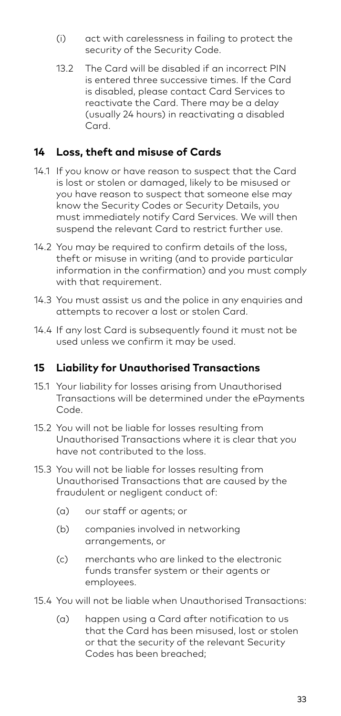- (i) act with carelessness in failing to protect the security of the Security Code.
- 13.2 The Card will be disabled if an incorrect PIN is entered three successive times. If the Card is disabled, please contact Card Services to reactivate the Card. There may be a delay (usually 24 hours) in reactivating a disabled Card.

#### **14 Loss, theft and misuse of Cards**

- 14.1 If you know or have reason to suspect that the Card is lost or stolen or damaged, likely to be misused or you have reason to suspect that someone else may know the Security Codes or Security Details, you must immediately notify Card Services. We will then suspend the relevant Card to restrict further use.
- 14.2 You may be required to confirm details of the loss, theft or misuse in writing (and to provide particular information in the confirmation) and you must comply with that requirement.
- 14.3 You must assist us and the police in any enquiries and attempts to recover a lost or stolen Card.
- 14.4 If any lost Card is subsequently found it must not be used unless we confirm it may be used.

#### **15 Liability for Unauthorised Transactions**

- 15.1 Your liability for losses arising from Unauthorised Transactions will be determined under the ePayments Code.
- 15.2 You will not be liable for losses resulting from Unauthorised Transactions where it is clear that you have not contributed to the loss.
- 15.3 You will not be liable for losses resulting from Unauthorised Transactions that are caused by the fraudulent or negligent conduct of:
	- (a) our staff or agents; or
	- (b) companies involved in networking arrangements, or
	- (c) merchants who are linked to the electronic funds transfer system or their agents or employees.
- 15.4 You will not be liable when Unauthorised Transactions:
	- (a) happen using a Card after notification to us that the Card has been misused, lost or stolen or that the security of the relevant Security Codes has been breached;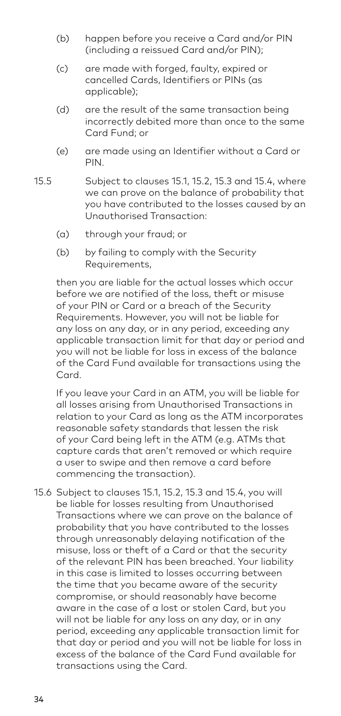- (b) happen before you receive a Card and/or PIN (including a reissued Card and/or PIN);
- (c) are made with forged, faulty, expired or cancelled Cards, Identifiers or PINs (as applicable);
- (d) are the result of the same transaction being incorrectly debited more than once to the same Card Fund; or
- (e) are made using an Identifier without a Card or PIN.
- 15.5 Subject to clauses 15.1, 15.2, 15.3 and 15.4, where we can prove on the balance of probability that you have contributed to the losses caused by an Unauthorised Transaction:
	- (a) through your fraud; or
	- (b) by failing to comply with the Security Requirements,

 then you are liable for the actual losses which occur before we are notified of the loss, theft or misuse of your PIN or Card or a breach of the Security Requirements. However, you will not be liable for any loss on any day, or in any period, exceeding any applicable transaction limit for that day or period and you will not be liable for loss in excess of the balance of the Card Fund available for transactions using the Card.

 If you leave your Card in an ATM, you will be liable for all losses arising from Unauthorised Transactions in relation to your Card as long as the ATM incorporates reasonable safety standards that lessen the risk of your Card being left in the ATM (e.g. ATMs that capture cards that aren't removed or which require a user to swipe and then remove a card before commencing the transaction).

15.6 Subject to clauses 15.1, 15.2, 15.3 and 15.4, you will be liable for losses resulting from Unauthorised Transactions where we can prove on the balance of probability that you have contributed to the losses through unreasonably delaying notification of the misuse, loss or theft of a Card or that the security of the relevant PIN has been breached. Your liability in this case is limited to losses occurring between the time that you became aware of the security compromise, or should reasonably have become aware in the case of a lost or stolen Card, but you will not be liable for any loss on any day, or in any period, exceeding any applicable transaction limit for that day or period and you will not be liable for loss in excess of the balance of the Card Fund available for transactions using the Card.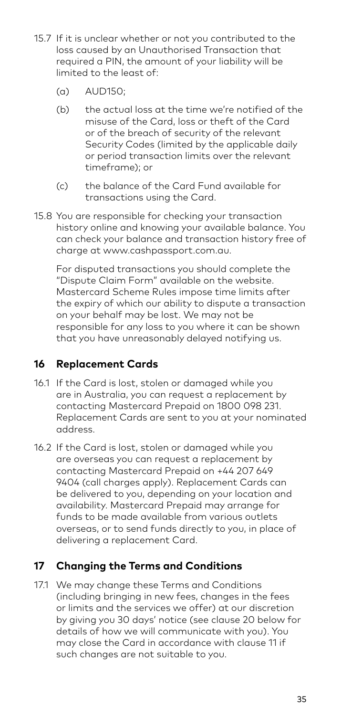- 15.7 If it is unclear whether or not you contributed to the loss caused by an Unauthorised Transaction that required a PIN, the amount of your liability will be limited to the least of:
	- (a) AUD150;
	- (b) the actual loss at the time we're notified of the misuse of the Card, loss or theft of the Card or of the breach of security of the relevant Security Codes (limited by the applicable daily or period transaction limits over the relevant timeframe); or
	- (c) the balance of the Card Fund available for transactions using the Card.
- 15.8 You are responsible for checking your transaction history online and knowing your available balance. You can check your balance and transaction history free of charge at www.cashpassport.com.au.

 For disputed transactions you should complete the "Dispute Claim Form" available on the website. Mastercard Scheme Rules impose time limits after the expiry of which our ability to dispute a transaction on your behalf may be lost. We may not be responsible for any loss to you where it can be shown that you have unreasonably delayed notifying us.

### **16 Replacement Cards**

- 16.1 If the Card is lost, stolen or damaged while you are in Australia, you can request a replacement by contacting Mastercard Prepaid on 1800 098 231. Replacement Cards are sent to you at your nominated address.
- 16.2 If the Card is lost, stolen or damaged while you are overseas you can request a replacement by contacting Mastercard Prepaid on +44 207 649 9404 (call charges apply). Replacement Cards can be delivered to you, depending on your location and availability. Mastercard Prepaid may arrange for funds to be made available from various outlets overseas, or to send funds directly to you, in place of delivering a replacement Card.

## **17 Changing the Terms and Conditions**

17.1 We may change these Terms and Conditions (including bringing in new fees, changes in the fees or limits and the services we offer) at our discretion by giving you 30 days' notice (see clause 20 below for details of how we will communicate with you). You may close the Card in accordance with clause 11 if such changes are not suitable to you.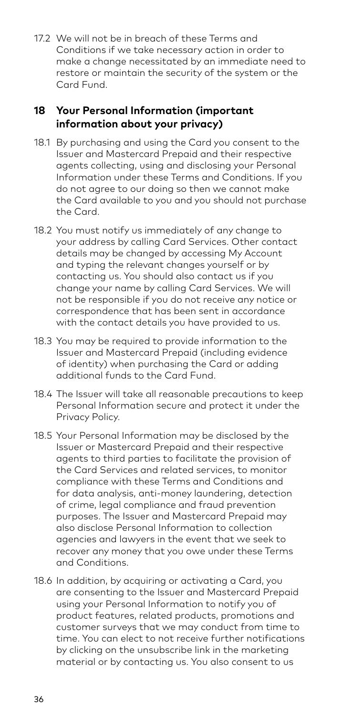17.2 We will not be in breach of these Terms and Conditions if we take necessary action in order to make a change necessitated by an immediate need to restore or maintain the security of the system or the Card Fund.

#### **18 Your Personal Information (important information about your privacy)**

- 18.1 By purchasing and using the Card you consent to the Issuer and Mastercard Prepaid and their respective agents collecting, using and disclosing your Personal Information under these Terms and Conditions. If you do not agree to our doing so then we cannot make the Card available to you and you should not purchase the Card.
- 18.2 You must notify us immediately of any change to your address by calling Card Services. Other contact details may be changed by accessing My Account and typing the relevant changes yourself or by contacting us. You should also contact us if you change your name by calling Card Services. We will not be responsible if you do not receive any notice or correspondence that has been sent in accordance with the contact details you have provided to us.
- 18.3 You may be required to provide information to the Issuer and Mastercard Prepaid (including evidence of identity) when purchasing the Card or adding additional funds to the Card Fund.
- 18.4 The Issuer will take all reasonable precautions to keep Personal Information secure and protect it under the Privacy Policy.
- 18.5 Your Personal Information may be disclosed by the Issuer or Mastercard Prepaid and their respective agents to third parties to facilitate the provision of the Card Services and related services, to monitor compliance with these Terms and Conditions and for data analysis, anti-money laundering, detection of crime, legal compliance and fraud prevention purposes. The Issuer and Mastercard Prepaid may also disclose Personal Information to collection agencies and lawyers in the event that we seek to recover any money that you owe under these Terms and Conditions.
- 18.6 In addition, by acquiring or activating a Card, you are consenting to the Issuer and Mastercard Prepaid using your Personal Information to notify you of product features, related products, promotions and customer surveys that we may conduct from time to time. You can elect to not receive further notifications by clicking on the unsubscribe link in the marketing material or by contacting us. You also consent to us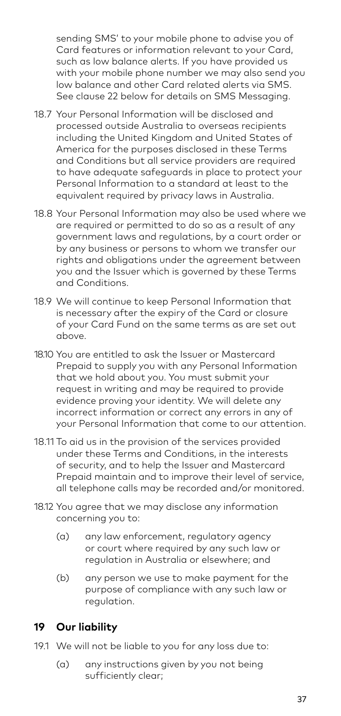sending SMS' to your mobile phone to advise you of Card features or information relevant to your Card, such as low balance alerts. If you have provided us with your mobile phone number we may also send you low balance and other Card related alerts via SMS. See clause 22 below for details on SMS Messaging.

- 18.7 Your Personal Information will be disclosed and processed outside Australia to overseas recipients including the United Kingdom and United States of America for the purposes disclosed in these Terms and Conditions but all service providers are required to have adequate safeguards in place to protect your Personal Information to a standard at least to the equivalent required by privacy laws in Australia.
- 18.8 Your Personal Information may also be used where we are required or permitted to do so as a result of any government laws and regulations, by a court order or by any business or persons to whom we transfer our rights and obligations under the agreement between you and the Issuer which is governed by these Terms and Conditions.
- 18.9 We will continue to keep Personal Information that is necessary after the expiry of the Card or closure of your Card Fund on the same terms as are set out above.
- 18.10 You are entitled to ask the Issuer or Mastercard Prepaid to supply you with any Personal Information that we hold about you. You must submit your request in writing and may be required to provide evidence proving your identity. We will delete any incorrect information or correct any errors in any of your Personal Information that come to our attention.
- 18.11 To aid us in the provision of the services provided under these Terms and Conditions, in the interests of security, and to help the Issuer and Mastercard Prepaid maintain and to improve their level of service, all telephone calls may be recorded and/or monitored.
- 18.12 You agree that we may disclose any information concerning you to:
	- (a) any law enforcement, regulatory agency or court where required by any such law or regulation in Australia or elsewhere; and
	- (b) any person we use to make payment for the purpose of compliance with any such law or regulation.

#### **19 Our liability**

- 19.1 We will not be liable to you for any loss due to:
	- (a) any instructions given by you not being sufficiently clear;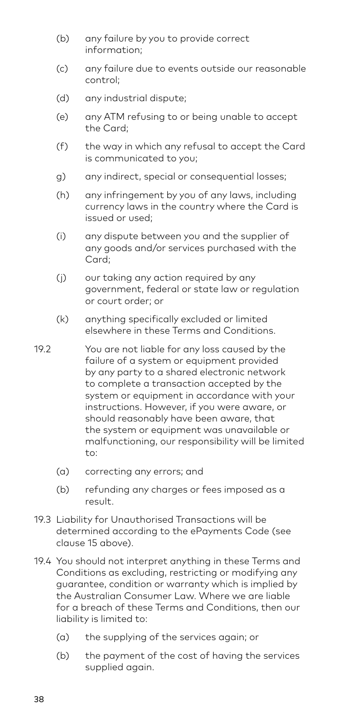- (b) any failure by you to provide correct information;
- (c) any failure due to events outside our reasonable control;
- (d) any industrial dispute;
- (e) any ATM refusing to or being unable to accept the Card;
- (f) the way in which any refusal to accept the Card is communicated to you;
- g) any indirect, special or consequential losses;
- (h) any infringement by you of any laws, including currency laws in the country where the Card is issued or used;
- (i) any dispute between you and the supplier of any goods and/or services purchased with the Card;
- (j) our taking any action required by any government, federal or state law or regulation or court order; or
- (k) anything specifically excluded or limited elsewhere in these Terms and Conditions.
- 19.2 You are not liable for any loss caused by the failure of a system or equipment provided by any party to a shared electronic network to complete a transaction accepted by the system or equipment in accordance with your instructions. However, if you were aware, or should reasonably have been aware, that the system or equipment was unavailable or malfunctioning, our responsibility will be limited to:
	- (a) correcting any errors; and
	- (b) refunding any charges or fees imposed as a result.
- 19.3 Liability for Unauthorised Transactions will be determined according to the ePayments Code (see clause 15 above).
- 19.4 You should not interpret anything in these Terms and Conditions as excluding, restricting or modifying any guarantee, condition or warranty which is implied by the Australian Consumer Law. Where we are liable for a breach of these Terms and Conditions, then our liability is limited to:
	- (a) the supplying of the services again; or
	- (b) the payment of the cost of having the services supplied again.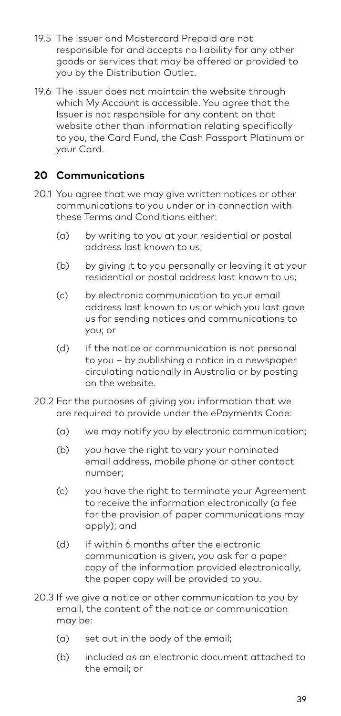- 19.5 The Issuer and Mastercard Prepaid are not responsible for and accepts no liability for any other goods or services that may be offered or provided to you by the Distribution Outlet.
- 19.6 The Issuer does not maintain the website through which My Account is accessible. You agree that the Issuer is not responsible for any content on that website other than information relating specifically to you, the Card Fund, the Cash Passport Platinum or your Card.

#### **20 Communications**

- 20.1 You agree that we may give written notices or other communications to you under or in connection with these Terms and Conditions either:
	- (a) by writing to you at your residential or postal address last known to us;
	- (b) by giving it to you personally or leaving it at your residential or postal address last known to us;
	- (c) by electronic communication to your email address last known to us or which you last gave us for sending notices and communications to you; or
	- (d) if the notice or communication is not personal to you – by publishing a notice in a newspaper circulating nationally in Australia or by posting on the website.
- 20.2 For the purposes of giving you information that we are required to provide under the ePayments Code:
	- (a) we may notify you by electronic communication;
	- (b) you have the right to vary your nominated email address, mobile phone or other contact number;
	- (c) you have the right to terminate your Agreement to receive the information electronically (a fee for the provision of paper communications may apply); and
	- (d) if within 6 months after the electronic communication is given, you ask for a paper copy of the information provided electronically, the paper copy will be provided to you.
- 20.3 If we give a notice or other communication to you by email, the content of the notice or communication may be:
	- (a) set out in the body of the email;
	- (b) included as an electronic document attached to the email; or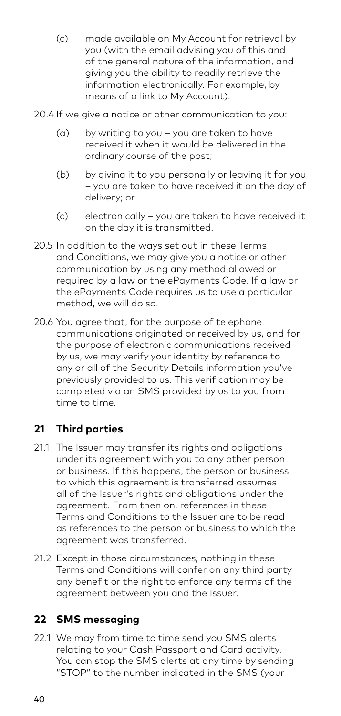- (c) made available on My Account for retrieval by you (with the email advising you of this and of the general nature of the information, and giving you the ability to readily retrieve the information electronically. For example, by means of a link to My Account).
- 20.4 If we give a notice or other communication to you:
	- (a) by writing to you you are taken to have received it when it would be delivered in the ordinary course of the post;
	- (b) by giving it to you personally or leaving it for you – you are taken to have received it on the day of delivery; or
	- (c) electronically you are taken to have received it on the day it is transmitted.
- 20.5 In addition to the ways set out in these Terms and Conditions, we may give you a notice or other communication by using any method allowed or required by a law or the ePayments Code. If a law or the ePayments Code requires us to use a particular method, we will do so.
- 20.6 You agree that, for the purpose of telephone communications originated or received by us, and for the purpose of electronic communications received by us, we may verify your identity by reference to any or all of the Security Details information you've previously provided to us. This verification may be completed via an SMS provided by us to you from time to time.

#### **21 Third parties**

- 21.1 The Issuer may transfer its rights and obligations under its agreement with you to any other person or business. If this happens, the person or business to which this agreement is transferred assumes all of the Issuer's rights and obligations under the agreement. From then on, references in these Terms and Conditions to the Issuer are to be read as references to the person or business to which the agreement was transferred.
- 21.2 Except in those circumstances, nothing in these Terms and Conditions will confer on any third party any benefit or the right to enforce any terms of the agreement between you and the Issuer.

#### **22 SMS messaging**

22.1 We may from time to time send you SMS alerts relating to your Cash Passport and Card activity. You can stop the SMS alerts at any time by sending "STOP" to the number indicated in the SMS (your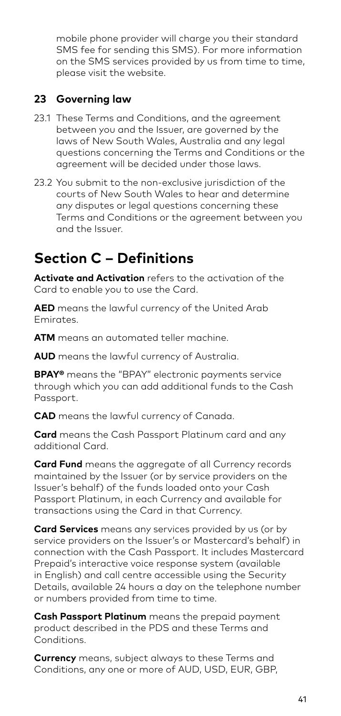mobile phone provider will charge you their standard SMS fee for sending this SMS). For more information on the SMS services provided by us from time to time, please visit the website.

#### **23 Governing law**

- 23.1 These Terms and Conditions, and the agreement between you and the Issuer, are governed by the laws of New South Wales, Australia and any legal questions concerning the Terms and Conditions or the agreement will be decided under those laws.
- 23.2 You submit to the non-exclusive jurisdiction of the courts of New South Wales to hear and determine any disputes or legal questions concerning these Terms and Conditions or the agreement between you and the Issuer.

## **Section C – Definitions**

**Activate and Activation** refers to the activation of the Card to enable you to use the Card.

**AED** means the lawful currency of the United Arab Emirates.

**ATM** means an automated teller machine.

**AUD** means the lawful currency of Australia.

**BPAY®** means the "BPAY" electronic payments service through which you can add additional funds to the Cash Passport.

**CAD** means the lawful currency of Canada.

**Card** means the Cash Passport Platinum card and any additional Card.

**Card Fund** means the aggregate of all Currency records maintained by the Issuer (or by service providers on the Issuer's behalf) of the funds loaded onto your Cash Passport Platinum, in each Currency and available for transactions using the Card in that Currency.

**Card Services** means any services provided by us (or by service providers on the Issuer's or Mastercard's behalf) in connection with the Cash Passport. It includes Mastercard Prepaid's interactive voice response system (available in English) and call centre accessible using the Security Details, available 24 hours a day on the telephone number or numbers provided from time to time.

**Cash Passport Platinum** means the prepaid payment product described in the PDS and these Terms and Conditions.

**Currency** means, subject always to these Terms and Conditions, any one or more of AUD, USD, EUR, GBP,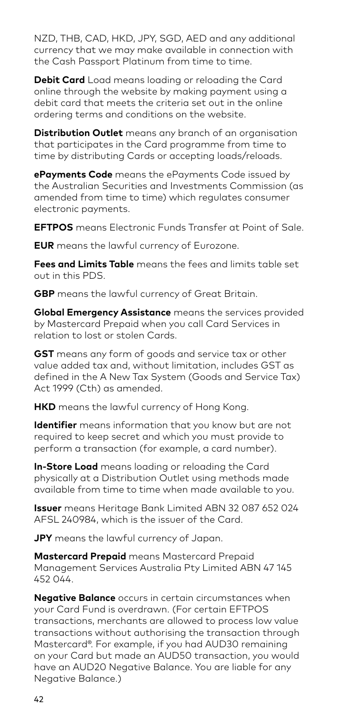NZD, THB, CAD, HKD, JPY, SGD, AED and any additional currency that we may make available in connection with the Cash Passport Platinum from time to time.

**Debit Card** Load means loading or reloading the Card online through the website by making payment using a debit card that meets the criteria set out in the online ordering terms and conditions on the website.

**Distribution Outlet** means any branch of an organisation that participates in the Card programme from time to time by distributing Cards or accepting loads/reloads.

**ePayments Code** means the ePayments Code issued by the Australian Securities and Investments Commission (as amended from time to time) which regulates consumer electronic payments.

**EFTPOS** means Electronic Funds Transfer at Point of Sale.

**EUR** means the lawful currency of Eurozone.

**Fees and Limits Table** means the fees and limits table set out in this PDS.

**GBP** means the lawful currency of Great Britain.

**Global Emergency Assistance** means the services provided by Mastercard Prepaid when you call Card Services in relation to lost or stolen Cards.

**GST** means any form of goods and service tax or other value added tax and, without limitation, includes GST as defined in the A New Tax System (Goods and Service Tax) Act 1999 (Cth) as amended.

**HKD** means the lawful currency of Hong Kong.

**Identifier** means information that you know but are not required to keep secret and which you must provide to perform a transaction (for example, a card number).

**In-Store Load** means loading or reloading the Card physically at a Distribution Outlet using methods made available from time to time when made available to you.

**Issuer** means Heritage Bank Limited ABN 32 087 652 024 AFSL 240984, which is the issuer of the Card.

**JPY** means the lawful currency of Japan.

**Mastercard Prepaid** means Mastercard Prepaid Management Services Australia Pty Limited ABN 47 145 452 044.

**Negative Balance** occurs in certain circumstances when your Card Fund is overdrawn. (For certain EFTPOS transactions, merchants are allowed to process low value transactions without authorising the transaction through Mastercard®. For example, if you had AUD30 remaining on your Card but made an AUD50 transaction, you would have an AUD20 Negative Balance. You are liable for any Negative Balance.)